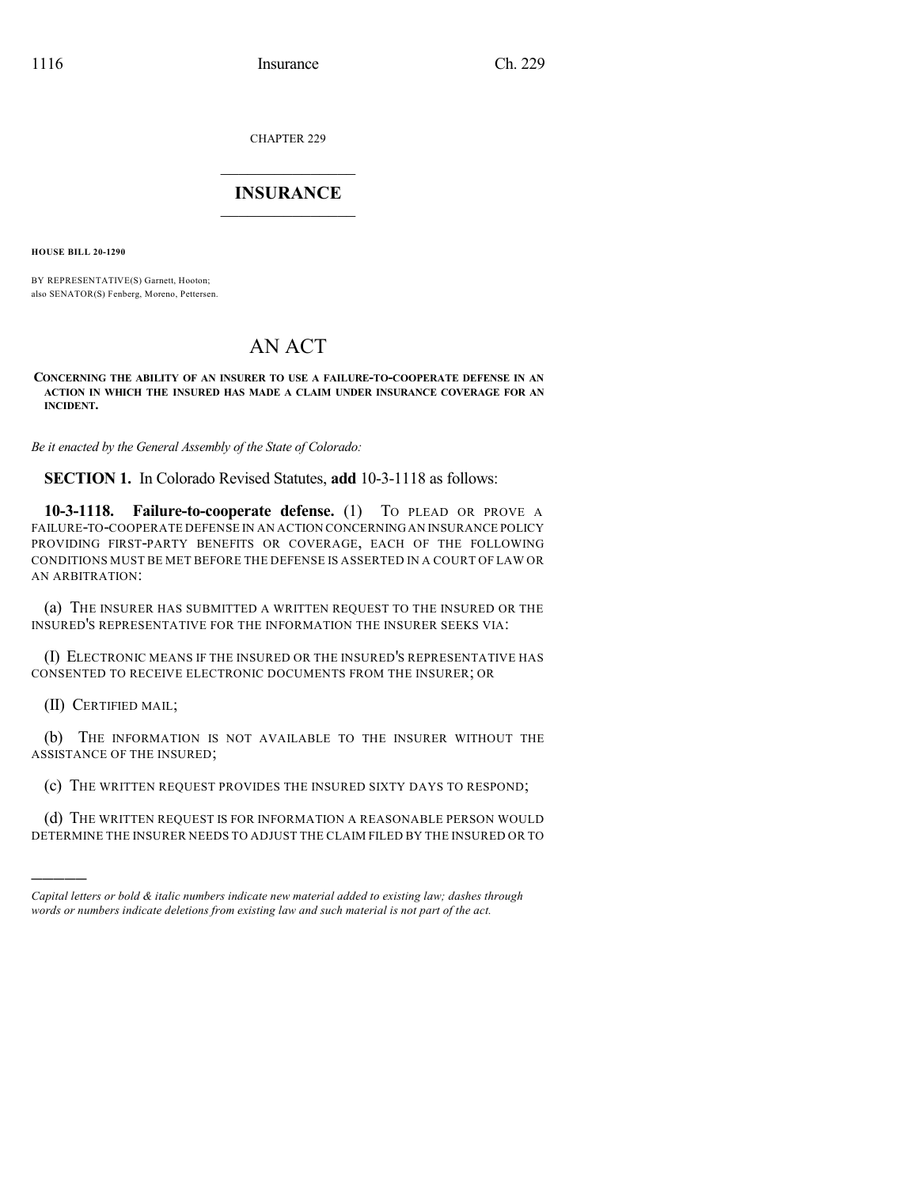CHAPTER 229

## $\overline{\phantom{a}}$  . The set of the set of the set of the set of the set of the set of the set of the set of the set of the set of the set of the set of the set of the set of the set of the set of the set of the set of the set o **INSURANCE**  $\frac{1}{2}$  ,  $\frac{1}{2}$  ,  $\frac{1}{2}$  ,  $\frac{1}{2}$  ,  $\frac{1}{2}$  ,  $\frac{1}{2}$  ,  $\frac{1}{2}$

**HOUSE BILL 20-1290**

BY REPRESENTATIVE(S) Garnett, Hooton; also SENATOR(S) Fenberg, Moreno, Pettersen.

## AN ACT

**CONCERNING THE ABILITY OF AN INSURER TO USE A FAILURE-TO-COOPERATE DEFENSE IN AN ACTION IN WHICH THE INSURED HAS MADE A CLAIM UNDER INSURANCE COVERAGE FOR AN INCIDENT.**

*Be it enacted by the General Assembly of the State of Colorado:*

**SECTION 1.** In Colorado Revised Statutes, **add** 10-3-1118 as follows:

**10-3-1118. Failure-to-cooperate defense.** (1) TO PLEAD OR PROVE A FAILURE-TO-COOPERATE DEFENSE IN AN ACTION CONCERNINGAN INSURANCE POLICY PROVIDING FIRST-PARTY BENEFITS OR COVERAGE, EACH OF THE FOLLOWING CONDITIONS MUST BE MET BEFORE THE DEFENSE IS ASSERTED IN A COURT OF LAW OR AN ARBITRATION:

(a) THE INSURER HAS SUBMITTED A WRITTEN REQUEST TO THE INSURED OR THE INSURED'S REPRESENTATIVE FOR THE INFORMATION THE INSURER SEEKS VIA:

(I) ELECTRONIC MEANS IF THE INSURED OR THE INSURED'S REPRESENTATIVE HAS CONSENTED TO RECEIVE ELECTRONIC DOCUMENTS FROM THE INSURER; OR

(II) CERTIFIED MAIL;

)))))

(b) THE INFORMATION IS NOT AVAILABLE TO THE INSURER WITHOUT THE ASSISTANCE OF THE INSURED;

(c) THE WRITTEN REQUEST PROVIDES THE INSURED SIXTY DAYS TO RESPOND;

(d) THE WRITTEN REQUEST IS FOR INFORMATION A REASONABLE PERSON WOULD DETERMINE THE INSURER NEEDS TO ADJUST THE CLAIM FILED BY THE INSURED OR TO

*Capital letters or bold & italic numbers indicate new material added to existing law; dashes through words or numbers indicate deletions from existing law and such material is not part of the act.*